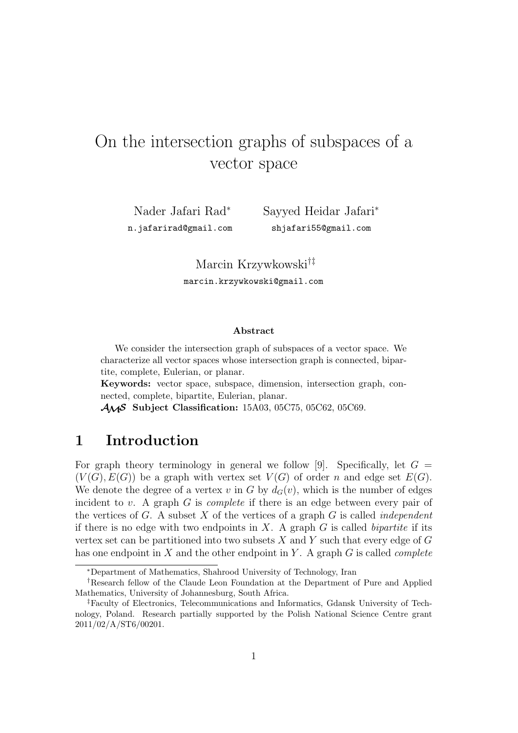# On the intersection graphs of subspaces of a vector space

Nader Jafari Rad*<sup>∗</sup>* n.jafarirad@gmail.com Sayyed Heidar Jafari*<sup>∗</sup>* shjafari55@gmail.com

Marcin Krzywkowski*†‡* marcin.krzywkowski@gmail.com

#### **Abstract**

We consider the intersection graph of subspaces of a vector space. We characterize all vector spaces whose intersection graph is connected, bipartite, complete, Eulerian, or planar.

**Keywords:** vector space, subspace, dimension, intersection graph, connected, complete, bipartite, Eulerian, planar.

*AMS* **Subject Classification:** 15A03, 05C75, 05C62, 05C69.

## **1 Introduction**

For graph theory terminology in general we follow [9]. Specifically, let  $G =$  $(V(G), E(G))$  be a graph with vertex set  $V(G)$  of order *n* and edge set  $E(G)$ . We denote the degree of a vertex *v* in *G* by  $d_G(v)$ , which is the number of edges incident to *v*. A graph *G* is *complete* if there is an edge between every pair of the vertices of *G*. A subset *X* of the vertices of a graph *G* is called *independent* if there is no edge with two endpoints in *X*. A graph *G* is called *bipartite* if its vertex set can be partitioned into two subsets *X* and *Y* such that every edge of *G* has one endpoint in *X* and the other endpoint in *Y* . A graph *G* is called *complete*

*<sup>∗</sup>*Department of Mathematics, Shahrood University of Technology, Iran

*<sup>†</sup>*Research fellow of the Claude Leon Foundation at the Department of Pure and Applied Mathematics, University of Johannesburg, South Africa.

*<sup>‡</sup>*Faculty of Electronics, Telecommunications and Informatics, Gdansk University of Technology, Poland. Research partially supported by the Polish National Science Centre grant 2011/02/A/ST6/00201.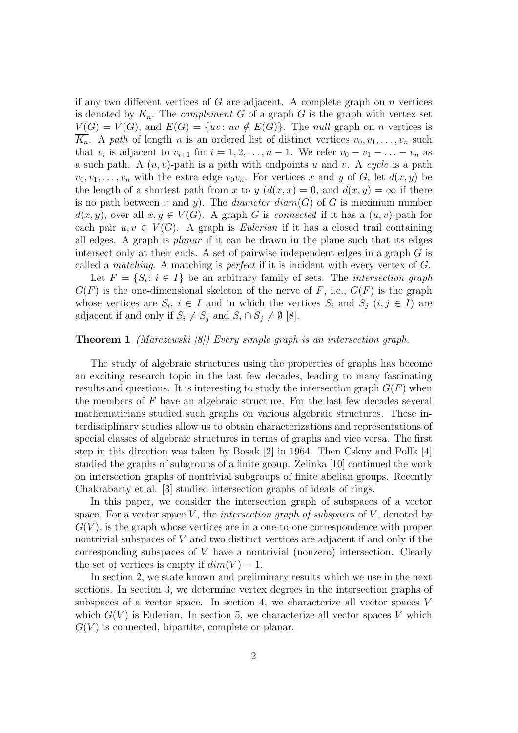if any two different vertices of *G* are adjacent. A complete graph on *n* vertices is denoted by  $K_n$ . The *complement*  $\overline{G}$  of a graph  $G$  is the graph with vertex set  $V(\overline{G}) = V(G)$ , and  $E(\overline{G}) = \{uv : uv \notin E(G)\}\$ . The *null* graph on *n* vertices is  $\overline{K_n}$ . A *path* of length *n* is an ordered list of distinct vertices  $v_0, v_1, \ldots, v_n$  such that  $v_i$  is adjacent to  $v_{i+1}$  for  $i = 1, 2, \ldots, n-1$ . We refer  $v_0 - v_1 - \ldots - v_n$  as a such path. A (*u, v*)-path is a path with endpoints *u* and *v*. A *cycle* is a path  $v_0, v_1, \ldots, v_n$  with the extra edge  $v_0v_n$ . For vertices *x* and *y* of *G*, let  $d(x, y)$  be the length of a shortest path from *x* to *y* ( $d(x, x) = 0$ , and  $d(x, y) = \infty$  if there is no path between x and y). The *diameter*  $diam(G)$  of G is maximum number  $d(x, y)$ , over all  $x, y \in V(G)$ . A graph *G* is *connected* if it has a  $(u, v)$ -path for each pair  $u, v \in V(G)$ . A graph is *Eulerian* if it has a closed trail containing all edges. A graph is *planar* if it can be drawn in the plane such that its edges intersect only at their ends. A set of pairwise independent edges in a graph *G* is called a *matching*. A matching is *perfect* if it is incident with every vertex of *G*.

Let  $F = \{S_i : i \in I\}$  be an arbitrary family of sets. The *intersection graph*  $G(F)$  is the one-dimensional skeleton of the nerve of *F*, i.e.,  $G(F)$  is the graph whose vertices are  $S_i$ ,  $i \in I$  and in which the vertices  $S_i$  and  $S_j$   $(i, j \in I)$  are adjacent if and only if  $S_i \neq S_j$  and  $S_i \cap S_j \neq \emptyset$  [8].

#### **Theorem 1** *(Marczewski [8]) Every simple graph is an intersection graph.*

The study of algebraic structures using the properties of graphs has become an exciting research topic in the last few decades, leading to many fascinating results and questions. It is interesting to study the intersection graph  $G(F)$  when the members of *F* have an algebraic structure. For the last few decades several mathematicians studied such graphs on various algebraic structures. These interdisciplinary studies allow us to obtain characterizations and representations of special classes of algebraic structures in terms of graphs and vice versa. The first step in this direction was taken by Bosak [2] in 1964. Then Cskny and Pollk [4] studied the graphs of subgroups of a finite group. Zelinka [10] continued the work on intersection graphs of nontrivial subgroups of finite abelian groups. Recently Chakrabarty et al. [3] studied intersection graphs of ideals of rings.

In this paper, we consider the intersection graph of subspaces of a vector space. For a vector space  $V$ , the *intersection graph of subspaces* of  $V$ , denoted by *G*(*V* ), is the graph whose vertices are in a one-to-one correspondence with proper nontrivial subspaces of *V* and two distinct vertices are adjacent if and only if the corresponding subspaces of *V* have a nontrivial (nonzero) intersection. Clearly the set of vertices is empty if  $dim(V) = 1$ .

In section 2, we state known and preliminary results which we use in the next sections. In section 3, we determine vertex degrees in the intersection graphs of subspaces of a vector space. In section 4, we characterize all vector spaces *V* which  $G(V)$  is Eulerian. In section 5, we characterize all vector spaces V which  $G(V)$  is connected, bipartite, complete or planar.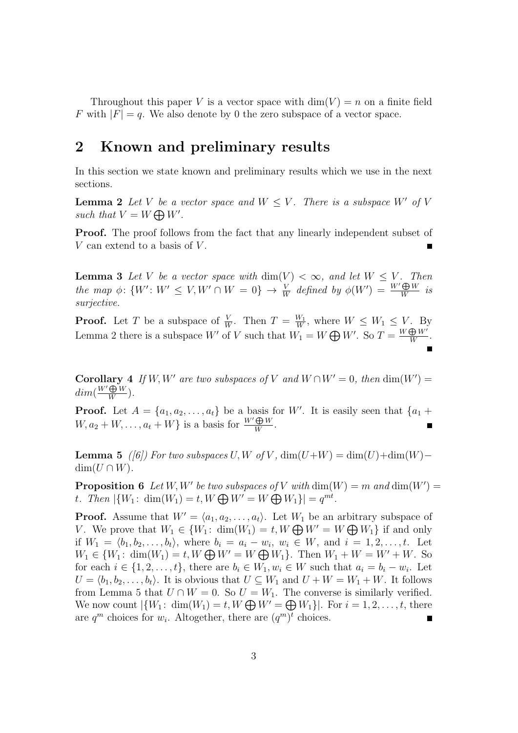Throughout this paper *V* is a vector space with  $\dim(V) = n$  on a finite field *F* with  $|F| = q$ . We also denote by 0 the zero subspace of a vector space.

# **2 Known and preliminary results**

In this section we state known and preliminary results which we use in the next sections.

**Lemma 2** Let *V* be a vector space and  $W \leq V$ . There is a subspace  $W'$  of *V* such that  $V = W \bigoplus W'$ .

**Proof.** The proof follows from the fact that any linearly independent subset of *V* can extend to a basis of *V* .

**Lemma 3** Let *V* be a vector space with  $\dim(V) < \infty$ , and let  $W \leq V$ . Then the map  $\phi\colon \{W': W' \leq V, W' \cap W = 0\} \to \frac{V}{W}$  defined by  $\phi(W') = \frac{W' \bigoplus W}{W}$  is *surjective.*

**Proof.** Let *T* be a subspace of  $\frac{V}{W}$ . Then  $T = \frac{W_1}{W}$  $\frac{W_1}{W}$ , where  $W \leq W_1 \leq V$ . By Lemma 2 there is a subspace *W'* of *V* such that  $W_1 = W \bigoplus W'$ . So  $T = \frac{W \bigoplus W'}{W}$  $\frac{\bigoplus W'}{W}$ .

**Corollary 4** *If W*, *W'* are two subspaces of *V* and  $W \cap W' = 0$ , then  $\dim(W') = 0$  $dim(\frac{W' \bigoplus W}{W})$  $\frac{\bigoplus W}{W}$ ).

**Proof.** Let  $A = \{a_1, a_2, \ldots, a_t\}$  be a basis for *W'*. It is easily seen that  $\{a_1 +$  $W, a_2 + W, \ldots, a_t + W$  is a basis for  $\frac{W' \bigoplus W}{W}$ .

**Lemma 5**  $(|6|)$  For two subspaces  $U, W$  of  $V$ , dim $(U+W) = \dim(U) + \dim(W)$ dim( $U \cap W$ ).

**Proposition 6** Let  $W, W'$  be two subspaces of  $V$  with  $\dim(W) = m$  and  $\dim(W') =$ *t. Then*  $|\{W_1: \dim(W_1) = t, W \bigoplus W' = W \bigoplus W_1\}| = q^{mt}$ .

**Proof.** Assume that  $W' = \langle a_1, a_2, \ldots, a_t \rangle$ . Let  $W_1$  be an arbitrary subspace of *V*. We prove that  $W_1 \in \{W_1: \dim(W_1) = t, W \bigoplus W' = W \bigoplus W_1\}$  if and only if  $W_1 = \langle b_1, b_2, \ldots, b_t \rangle$ , where  $b_i = a_i - w_i$ ,  $w_i \in W$ , and  $i = 1, 2, \ldots, t$ . Let  $W_1 \in \{W_1: \dim(W_1) = t, W \bigoplus W' = W \bigoplus W_1\}$ . Then  $W_1 + W = W' + W$ . So for each  $i \in \{1, 2, ..., t\}$ , there are  $b_i \in W_1, w_i \in W$  such that  $a_i = b_i - w_i$ . Let  $U = \langle b_1, b_2, \ldots, b_t \rangle$ . It is obvious that  $U \subseteq W_1$  and  $U + W = W_1 + W$ . It follows from Lemma 5 that  $U \cap W = 0$ . So  $U = W_1$ . The converse is similarly verified. We now count  $|\{W_1: \dim(W_1) = t, W \bigoplus W' = \bigoplus W_1\}|$ . For  $i = 1, 2, ..., t$ , there are  $q^m$  choices for  $w_i$ . Altogether, there are  $(q^m)^t$  choices.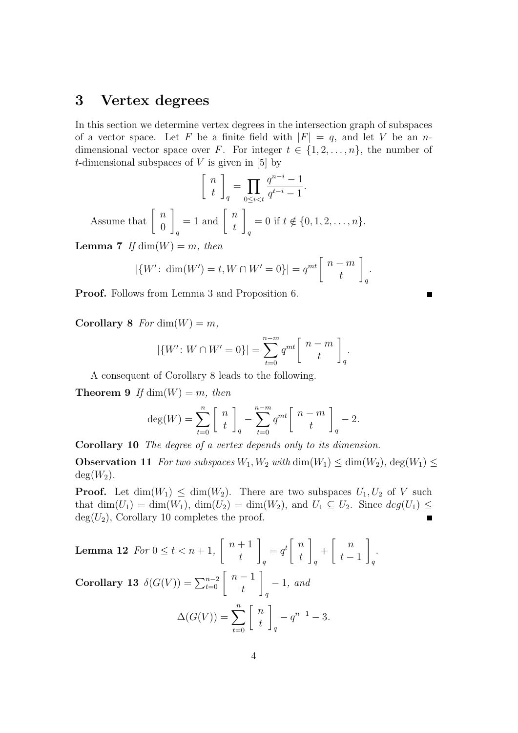### **3 Vertex degrees**

In this section we determine vertex degrees in the intersection graph of subspaces of a vector space. Let *F* be a finite field with  $|F| = q$ , and let *V* be an *n*dimensional vector space over *F*. For integer  $t \in \{1, 2, \ldots, n\}$ , the number of *t*-dimensional subspaces of *V* is given in [5] by

$$
\left[\begin{array}{c} n \\ t \end{array}\right]_q = \prod_{0 \le i < t} \frac{q^{n-i} - 1}{q^{t-i} - 1}.
$$

Assume that  $\left\lceil \frac{n}{2} \right\rceil$ 0 ] *q*  $= 1$  and  $\begin{bmatrix} n \\ 1 \end{bmatrix}$ *t* ] *q*  $= 0$  if  $t \notin \{0, 1, 2, \ldots, n\}.$ 

**Lemma 7** *If* dim(*W*) = *m, then* 

$$
|\{W': \dim(W') = t, W \cap W' = 0\}| = q^{mt} \left[ \begin{array}{c} n-m \\ t \end{array} \right]_q.
$$

 $\blacksquare$ 

**Proof.** Follows from Lemma 3 and Proposition 6.

**Corollary 8** *For* dim $(W) = m$ *,* 

$$
|\{W' : W \cap W' = 0\}| = \sum_{t=0}^{n-m} q^{mt} \left[ \begin{array}{c} n-m \\ t \end{array} \right]_q.
$$

A consequent of Corollary 8 leads to the following.

**Theorem 9** If  $\dim(W) = m$ , then

$$
\deg(W) = \sum_{t=0}^{n} \left[ \begin{array}{c} n \\ t \end{array} \right]_q - \sum_{t=0}^{n-m} q^{mt} \left[ \begin{array}{c} n-m \\ t \end{array} \right]_q - 2.
$$

**Corollary 10** *The degree of a vertex depends only to its dimension.*

**Observation 11** *For two subspaces*  $W_1, W_2$  *with* dim $(W_1) \leq$  dim $(W_2)$ *,* deg $(W_1) \leq$  $deg(W_2)$ .

**Proof.** Let  $\dim(W_1) \leq \dim(W_2)$ . There are two subspaces  $U_1, U_2$  of V such that  $\dim(U_1) = \dim(W_1)$ ,  $\dim(U_2) = \dim(W_2)$ , and  $U_1 \subseteq U_2$ . Since  $deg(U_1) \le$  $deg(U_2)$ , Corollary 10 completes the proof.

**Lemma 12** For 
$$
0 \le t < n + 1
$$
,  $\begin{bmatrix} n+1 \\ t \end{bmatrix}_q = q^t \begin{bmatrix} n \\ t \end{bmatrix}_q + \begin{bmatrix} n \\ t-1 \end{bmatrix}_q$ .  
\n**Corollary 13**  $\delta(G(V)) = \sum_{t=0}^{n-2} \begin{bmatrix} n-1 \\ t \end{bmatrix}_q - 1$ , and  
\n
$$
\Delta(G(V)) = \sum_{t=0}^{n} \begin{bmatrix} n \\ t \end{bmatrix}_q - q^{n-1} - 3.
$$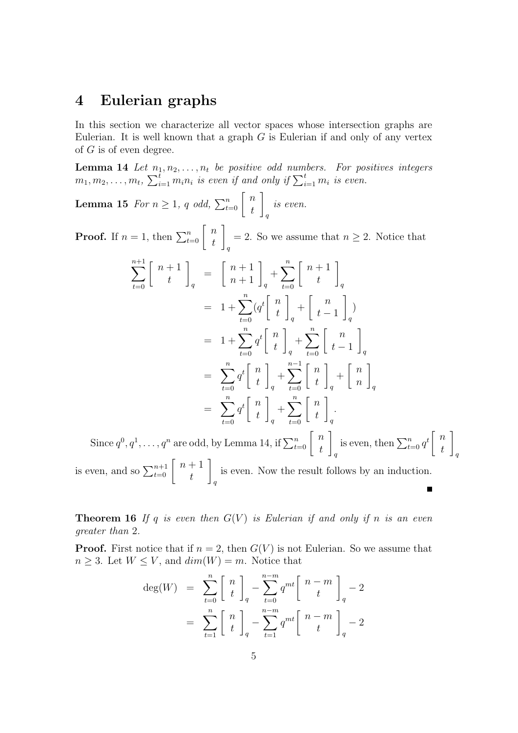### **4 Eulerian graphs**

Since *q*

In this section we characterize all vector spaces whose intersection graphs are Eulerian. It is well known that a graph *G* is Eulerian if and only of any vertex of *G* is of even degree.

**Lemma 14** *Let*  $n_1, n_2, \ldots, n_t$  *be positive odd numbers. For positives integers*  $m_1, m_2, \ldots, m_t$ ,  $\sum_{i=1}^tm_in_i$  is even if and only if  $\sum_{i=1}^tm_i$  is even.

**Lemma 15** *For*  $n \geq 1$ , *q odd*,  $\sum_{t=0}^{n} \begin{bmatrix} n \\ t \end{bmatrix}$ *t* ] *q is even.*

**Proof.** If  $n = 1$ , then  $\sum_{t=0}^{n} \begin{bmatrix} n \\ t \end{bmatrix}$ *t* ] *q*  $= 2$ . So we assume that  $n \geq 2$ . Notice that

$$
\sum_{t=0}^{n+1} \begin{bmatrix} n+1 \\ t \end{bmatrix}_q = \begin{bmatrix} n+1 \\ n+1 \end{bmatrix}_q + \sum_{t=0}^n \begin{bmatrix} n+1 \\ t \end{bmatrix}_q
$$
  
\n
$$
= 1 + \sum_{t=0}^n (q^t \begin{bmatrix} n \\ t \end{bmatrix}_q + \begin{bmatrix} n \\ t-1 \end{bmatrix}_q)
$$
  
\n
$$
= 1 + \sum_{t=0}^n q^t \begin{bmatrix} n \\ t \end{bmatrix}_q + \sum_{t=0}^n \begin{bmatrix} n \\ t-1 \end{bmatrix}_q
$$
  
\n
$$
= \sum_{t=0}^n q^t \begin{bmatrix} n \\ t \end{bmatrix}_q + \sum_{t=0}^{n-1} \begin{bmatrix} n \\ t \end{bmatrix}_q + \begin{bmatrix} n \\ n \end{bmatrix}_q
$$
  
\n
$$
= \sum_{t=0}^n q^t \begin{bmatrix} n \\ t \end{bmatrix}_q + \sum_{t=0}^n \begin{bmatrix} n \\ t \end{bmatrix}_q.
$$
  
\n
$$
q^0, q^1, \dots, q^n \text{ are odd, by Lemma 14, if } \sum_{t=0}^n \begin{bmatrix} n \\ t \end{bmatrix}_q \text{ is even, then } \sum_{t=0}^n q^t \begin{bmatrix} n \\ t \end{bmatrix}_q
$$

is even, and so  $\sum_{t=0}^{n+1} \begin{bmatrix} n+1 \\ t \end{bmatrix}$ ] is even. Now the result follows by an induction. *t q*  $\blacksquare$ 

**Theorem 16** *If*  $q$  *is even then*  $G(V)$  *is Eulerian if and only if*  $n$  *is an even greater than* 2*.*

**Proof.** First notice that if  $n = 2$ , then  $G(V)$  is not Eulerian. So we assume that  $n \geq 3$ . Let  $W \leq V$ , and  $dim(W) = m$ . Notice that

$$
\begin{aligned}\n\deg(W) &= \sum_{t=0}^{n} \left[ \begin{array}{c} n \\ t \end{array} \right]_q - \sum_{t=0}^{n-m} q^{mt} \left[ \begin{array}{c} n-m \\ t \end{array} \right]_q - 2 \\
&= \sum_{t=1}^{n} \left[ \begin{array}{c} n \\ t \end{array} \right]_q - \sum_{t=1}^{n-m} q^{mt} \left[ \begin{array}{c} n-m \\ t \end{array} \right]_q - 2\n\end{aligned}
$$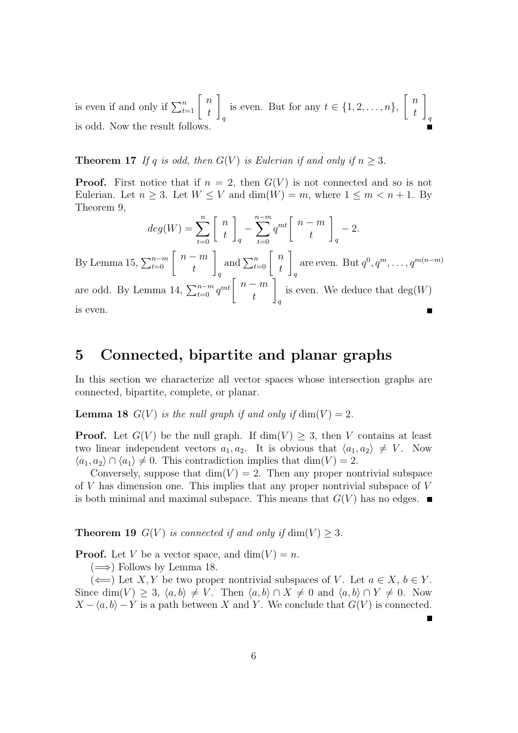is even if and only if  $\sum_{t=1}^{n} \begin{bmatrix} n \\ t \end{bmatrix}$ *t* ] *q* is even. But for any  $t \in \{1, 2, ..., n\}$ , [ *n t* ] *q* is odd. Now the result follows.

**Theorem 17** *If q is odd, then*  $G(V)$  *is Eulerian if and only if*  $n \geq 3$ *.* 

**Proof.** First notice that if  $n = 2$ , then  $G(V)$  is not connected and so is not Eulerian. Let  $n \geq 3$ . Let  $W \leq V$  and  $\dim(W) = m$ , where  $1 \leq m < n+1$ . By Theorem 9,

$$
deg(W) = \sum_{t=0}^{n} \begin{bmatrix} n \\ t \end{bmatrix}_q - \sum_{t=0}^{n-m} q^{mt} \begin{bmatrix} n-m \\ t \end{bmatrix}_q - 2.
$$
  
By Lemma 15,  $\sum_{t=0}^{n-m} \begin{bmatrix} n-m \\ t \end{bmatrix}_q$  and  $\sum_{t=0}^{n} \begin{bmatrix} n \\ t \end{bmatrix}_q$  are even. But  $q^0, q^m, \dots, q^{m(n-m)}$   
are odd. By Lemma 14,  $\sum_{t=0}^{n-m} q^{mt} \begin{bmatrix} n-m \\ t \end{bmatrix}_q$  is even. We deduce that  $deg(W)$   
is even.

# **5 Connected, bipartite and planar graphs**

In this section we characterize all vector spaces whose intersection graphs are connected, bipartite, complete, or planar.

**Lemma 18**  $G(V)$  *is the null graph if and only if*  $\dim(V) = 2$ *.* 

**Proof.** Let  $G(V)$  be the null graph. If  $\dim(V) \geq 3$ , then *V* contains at least two linear independent vectors  $a_1, a_2$ . It is obvious that  $\langle a_1, a_2 \rangle \neq V$ . Now  $\langle a_1, a_2 \rangle \cap \langle a_1 \rangle \neq 0$ . This contradiction implies that dim(*V*) = 2.

Conversely, suppose that  $\dim(V) = 2$ . Then any proper nontrivial subspace of *V* has dimension one. This implies that any proper nontrivial subspace of *V* is both minimal and maximal subspace. This means that  $G(V)$  has no edges.  $\blacksquare$ 

**Theorem 19**  $G(V)$  *is connected if and only if*  $\dim(V) \geq 3$ *.* 

**Proof.** Let *V* be a vector space, and  $dim(V) = n$ .

(=*⇒*) Follows by Lemma 18.

(←) Let *X*, *Y* be two proper nontrivial subspaces of *V*. Let  $a \in X$ ,  $b \in Y$ . Since dim $(V) \geq 3$ ,  $\langle a, b \rangle \neq V$ . Then  $\langle a, b \rangle \cap X \neq 0$  and  $\langle a, b \rangle \cap Y \neq 0$ . Now  $X - \langle a, b \rangle - Y$  is a path between *X* and *Y*. We conclude that  $G(V)$  is connected.

6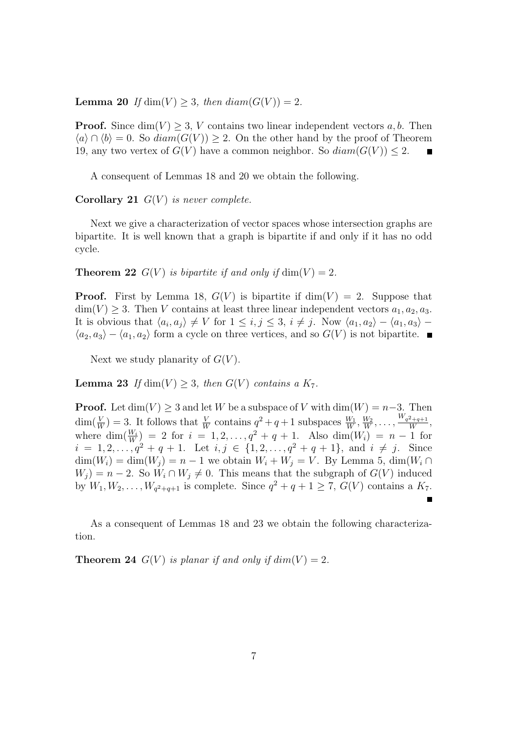**Lemma 20** *If* dim(*V*) > 3*, then*  $diam(G(V)) = 2$ *.* 

**Proof.** Since  $\dim(V) \geq 3$ , *V* contains two linear independent vectors *a*, *b*. Then  $\langle a \rangle \cap \langle b \rangle = 0$ . So  $diam(G(V)) \geq 2$ . On the other hand by the proof of Theorem 19, any two vertex of  $G(V)$  have a common neighbor. So  $diam(G(V)) \leq 2$ .

A consequent of Lemmas 18 and 20 we obtain the following.

**Corollary 21**  $G(V)$  *is never complete.* 

Next we give a characterization of vector spaces whose intersection graphs are bipartite. It is well known that a graph is bipartite if and only if it has no odd cycle.

**Theorem 22**  $G(V)$  *is bipartite if and only if*  $dim(V) = 2$ *.* 

**Proof.** First by Lemma 18,  $G(V)$  is bipartite if  $\dim(V) = 2$ . Suppose that  $\dim(V)$  > 3. Then *V* contains at least three linear independent vectors  $a_1, a_2, a_3$ . It is obvious that  $\langle a_i, a_j \rangle \neq V$  for  $1 \leq i, j \leq 3, i \neq j$ . Now  $\langle a_1, a_2 \rangle - \langle a_1, a_3 \rangle \langle a_2, a_3 \rangle - \langle a_1, a_2 \rangle$  form a cycle on three vertices, and so  $G(V)$  is not bipartite.

Next we study planarity of *G*(*V* ).

**Lemma 23** *If* dim(*V*)  $\geq$  3*, then G*(*V*) *contains a K*<sub>7</sub>*.* 

**Proof.** Let  $dim(V) \geq 3$  and let *W* be a subspace of *V* with  $dim(W) = n-3$ . Then  $\dim(\frac{V}{W}) = 3$ . It follows that  $\frac{V}{W}$  contains  $q^2 + q + 1$  subspaces  $\frac{W_1}{W}$ ,  $\frac{W_2}{W}$  $\frac{W_2}{W}, \ldots, \frac{W_{q^2+q+1}}{W}$  $\frac{2+q+1}{W},$ where  $\dim(\frac{W_i}{W}) = 2$  for  $i = 1, 2, ..., q^2 + q + 1$ . Also  $\dim(W_i) = n - 1$  for  $i = 1, 2, \ldots, q^2 + q + 1$ . Let  $i, j \in \{1, 2, \ldots, q^2 + q + 1\}$ , and  $i \neq j$ . Since  $\dim(W_i) = \dim(W_j) = n - 1$  we obtain  $W_i + W_j = V$ . By Lemma 5,  $\dim(W_i \cap$  $W_j$  = *n* − 2. So  $W_i \cap W_j \neq 0$ . This means that the subgraph of *G*(*V*) induced by  $W_1, W_2, \ldots, W_{q^2+q+1}$  is complete. Since  $q^2 + q + 1 \ge 7$ ,  $G(V)$  contains a  $K_7$ .

As a consequent of Lemmas 18 and 23 we obtain the following characterization.

**Theorem 24**  $G(V)$  *is planar if and only if*  $dim(V) = 2$ *.*